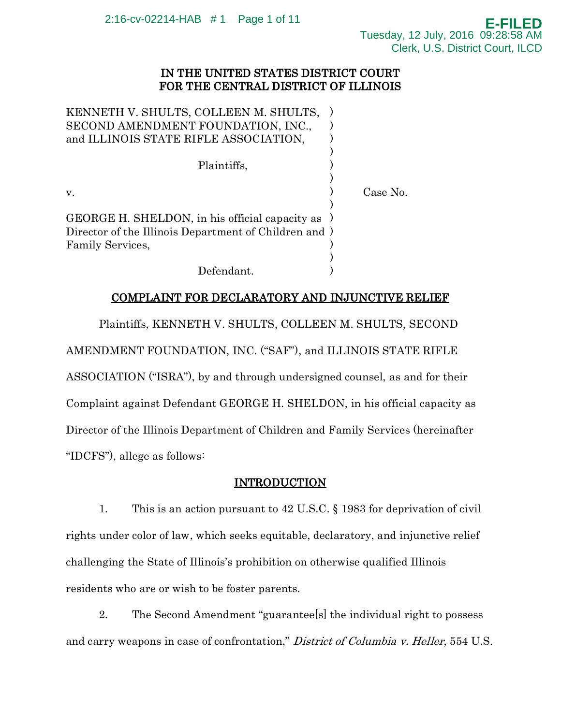## IN THE UNITED STATES DISTRICT COURT FOR THE CENTRAL DISTRICT OF ILLINOIS

| KENNETH V. SHULTS, COLLEEN M. SHULTS,<br>SECOND AMENDMENT FOUNDATION, INC.,<br>and ILLINOIS STATE RIFLE ASSOCIATION,          |          |
|-------------------------------------------------------------------------------------------------------------------------------|----------|
| Plaintiffs,                                                                                                                   |          |
| V.                                                                                                                            | Case No. |
| GEORGE H. SHELDON, in his official capacity as )<br>Director of the Illinois Department of Children and )<br>Family Services, |          |
| Defendant.                                                                                                                    |          |

# COMPLAINT FOR DECLARATORY AND INJUNCTIVE RELIEF

Plaintiffs, KENNETH V. SHULTS, COLLEEN M. SHULTS, SECOND

AMENDMENT FOUNDATION, INC. ("SAF"), and ILLINOIS STATE RIFLE

ASSOCIATION ("ISRA"), by and through undersigned counsel, as and for their Complaint against Defendant GEORGE H. SHELDON, in his official capacity as Director of the Illinois Department of Children and Family Services (hereinafter "IDCFS"), allege as follows:

# INTRODUCTION

1. This is an action pursuant to 42 U.S.C. § 1983 for deprivation of civil rights under color of law, which seeks equitable, declaratory, and injunctive relief challenging the State of Illinois's prohibition on otherwise qualified Illinois residents who are or wish to be foster parents.

2. The Second Amendment "guarantee[s] the individual right to possess and carry weapons in case of confrontation," District of Columbia v. Heller, 554 U.S.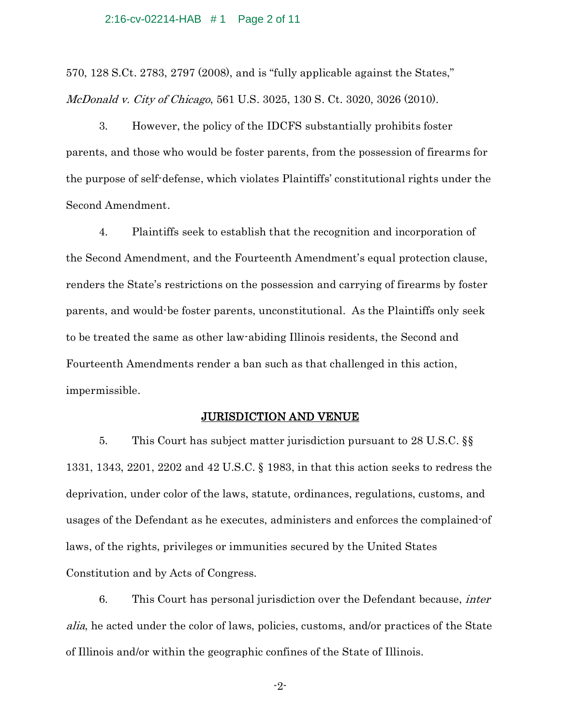#### 2:16-cv-02214-HAB # 1 Page 2 of 11

570, 128 S.Ct. 2783, 2797 (2008), and is "fully applicable against the States," McDonald v. City of Chicago, 561 U.S. 3025, 130 S. Ct. 3020, 3026 (2010).

3. However, the policy of the IDCFS substantially prohibits foster parents, and those who would be foster parents, from the possession of firearms for the purpose of self-defense, which violates Plaintiffs' constitutional rights under the Second Amendment.

4. Plaintiffs seek to establish that the recognition and incorporation of the Second Amendment, and the Fourteenth Amendment's equal protection clause, renders the State's restrictions on the possession and carrying of firearms by foster parents, and would-be foster parents, unconstitutional. As the Plaintiffs only seek to be treated the same as other law-abiding Illinois residents, the Second and Fourteenth Amendments render a ban such as that challenged in this action, impermissible.

## JURISDICTION AND VENUE

5. This Court has subject matter jurisdiction pursuant to 28 U.S.C. §§ 1331, 1343, 2201, 2202 and 42 U.S.C. § 1983, in that this action seeks to redress the deprivation, under color of the laws, statute, ordinances, regulations, customs, and usages of the Defendant as he executes, administers and enforces the complained-of laws, of the rights, privileges or immunities secured by the United States Constitution and by Acts of Congress.

6. This Court has personal jurisdiction over the Defendant because, inter alia, he acted under the color of laws, policies, customs, and/or practices of the State of Illinois and/or within the geographic confines of the State of Illinois.

-2-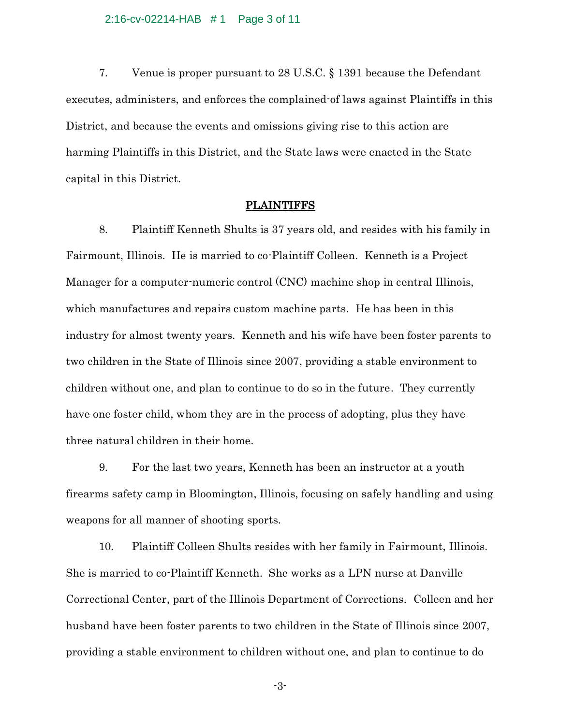#### 2:16-cv-02214-HAB # 1 Page 3 of 11

7. Venue is proper pursuant to 28 U.S.C. § 1391 because the Defendant executes, administers, and enforces the complained-of laws against Plaintiffs in this District, and because the events and omissions giving rise to this action are harming Plaintiffs in this District, and the State laws were enacted in the State capital in this District.

#### PLAINTIFFS

8. Plaintiff Kenneth Shults is 37 years old, and resides with his family in Fairmount, Illinois. He is married to co-Plaintiff Colleen. Kenneth is a Project Manager for a computer-numeric control (CNC) machine shop in central Illinois, which manufactures and repairs custom machine parts. He has been in this industry for almost twenty years. Kenneth and his wife have been foster parents to two children in the State of Illinois since 2007, providing a stable environment to children without one, and plan to continue to do so in the future. They currently have one foster child, whom they are in the process of adopting, plus they have three natural children in their home.

9. For the last two years, Kenneth has been an instructor at a youth firearms safety camp in Bloomington, Illinois, focusing on safely handling and using weapons for all manner of shooting sports.

10. Plaintiff Colleen Shults resides with her family in Fairmount, Illinois. She is married to co-Plaintiff Kenneth. She works as a LPN nurse at Danville Correctional Center, part of the Illinois Department of Corrections. Colleen and her husband have been foster parents to two children in the State of Illinois since 2007, providing a stable environment to children without one, and plan to continue to do

-3-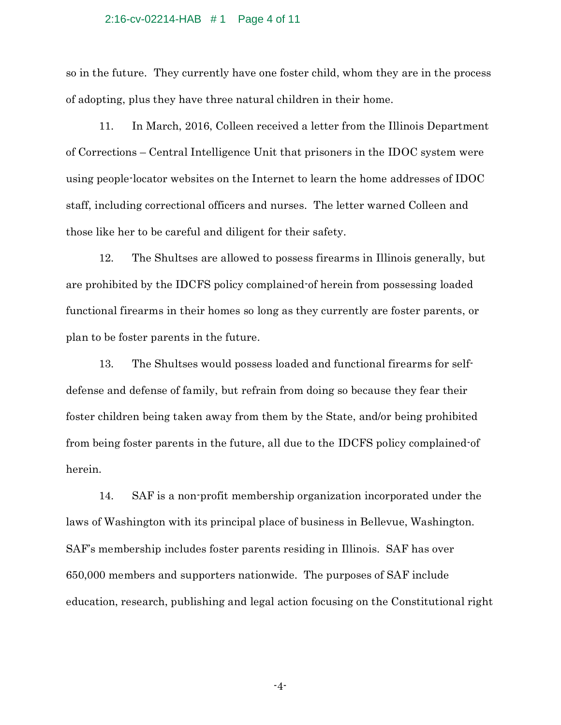#### 2:16-cv-02214-HAB # 1 Page 4 of 11

so in the future. They currently have one foster child, whom they are in the process of adopting, plus they have three natural children in their home.

11. In March, 2016, Colleen received a letter from the Illinois Department of Corrections – Central Intelligence Unit that prisoners in the IDOC system were using people-locator websites on the Internet to learn the home addresses of IDOC staff, including correctional officers and nurses. The letter warned Colleen and those like her to be careful and diligent for their safety.

12. The Shultses are allowed to possess firearms in Illinois generally, but are prohibited by the IDCFS policy complained-of herein from possessing loaded functional firearms in their homes so long as they currently are foster parents, or plan to be foster parents in the future.

13. The Shultses would possess loaded and functional firearms for selfdefense and defense of family, but refrain from doing so because they fear their foster children being taken away from them by the State, and/or being prohibited from being foster parents in the future, all due to the IDCFS policy complained-of herein.

14. SAF is a non-profit membership organization incorporated under the laws of Washington with its principal place of business in Bellevue, Washington. SAF's membership includes foster parents residing in Illinois. SAF has over 650,000 members and supporters nationwide. The purposes of SAF include education, research, publishing and legal action focusing on the Constitutional right

-4-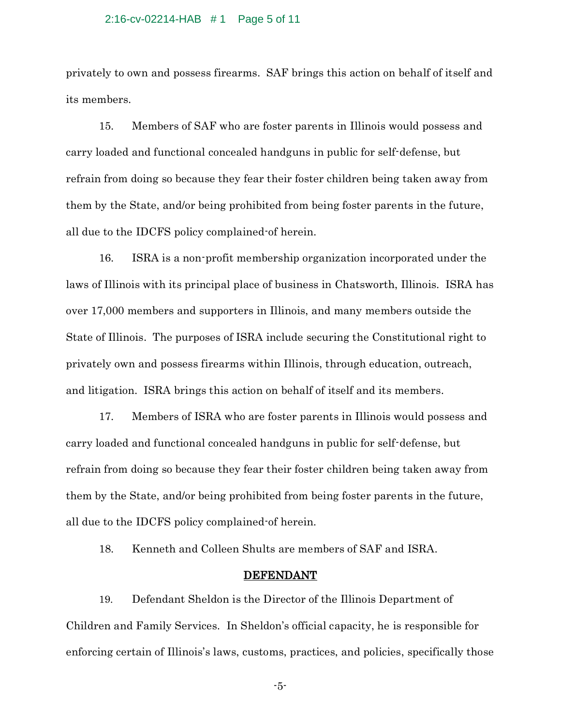#### 2:16-cv-02214-HAB # 1 Page 5 of 11

privately to own and possess firearms. SAF brings this action on behalf of itself and its members.

15. Members of SAF who are foster parents in Illinois would possess and carry loaded and functional concealed handguns in public for self-defense, but refrain from doing so because they fear their foster children being taken away from them by the State, and/or being prohibited from being foster parents in the future, all due to the IDCFS policy complained-of herein.

16. ISRA is a non-profit membership organization incorporated under the laws of Illinois with its principal place of business in Chatsworth, Illinois. ISRA has over 17,000 members and supporters in Illinois, and many members outside the State of Illinois. The purposes of ISRA include securing the Constitutional right to privately own and possess firearms within Illinois, through education, outreach, and litigation. ISRA brings this action on behalf of itself and its members.

17. Members of ISRA who are foster parents in Illinois would possess and carry loaded and functional concealed handguns in public for self-defense, but refrain from doing so because they fear their foster children being taken away from them by the State, and/or being prohibited from being foster parents in the future, all due to the IDCFS policy complained-of herein.

18. Kenneth and Colleen Shults are members of SAF and ISRA.

### DEFENDANT

19. Defendant Sheldon is the Director of the Illinois Department of Children and Family Services. In Sheldon's official capacity, he is responsible for enforcing certain of Illinois's laws, customs, practices, and policies, specifically those

-5-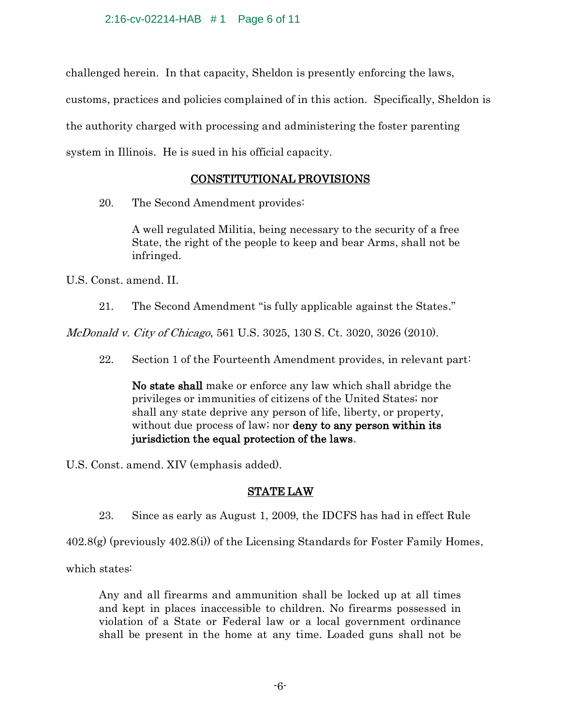challenged herein. In that capacity, Sheldon is presently enforcing the laws, customs, practices and policies complained of in this action. Specifically, Sheldon is the authority charged with processing and administering the foster parenting system in Illinois. He is sued in his official capacity.

# CONSTITUTIONAL PROVISIONS

20. The Second Amendment provides:

A well regulated Militia, being necessary to the security of a free State, the right of the people to keep and bear Arms, shall not be infringed.

U.S. Const. amend. II.

21. The Second Amendment "is fully applicable against the States."

McDonald v. City of Chicago, 561 U.S. 3025, 130 S. Ct. 3020, 3026 (2010).

22. Section 1 of the Fourteenth Amendment provides, in relevant part:

No state shall make or enforce any law which shall abridge the privileges or immunities of citizens of the United States; nor shall any state deprive any person of life, liberty, or property, without due process of law; nor **deny to any person within its** jurisdiction the equal protection of the laws.

U.S. Const. amend. XIV (emphasis added).

# STATE LAW

23. Since as early as August 1, 2009, the IDCFS has had in effect Rule

402.8(g) (previously 402.8(i)) of the Licensing Standards for Foster Family Homes,

which states:

Any and all firearms and ammunition shall be locked up at all times and kept in places inaccessible to children. No firearms possessed in violation of a State or Federal law or a local government ordinance shall be present in the home at any time. Loaded guns shall not be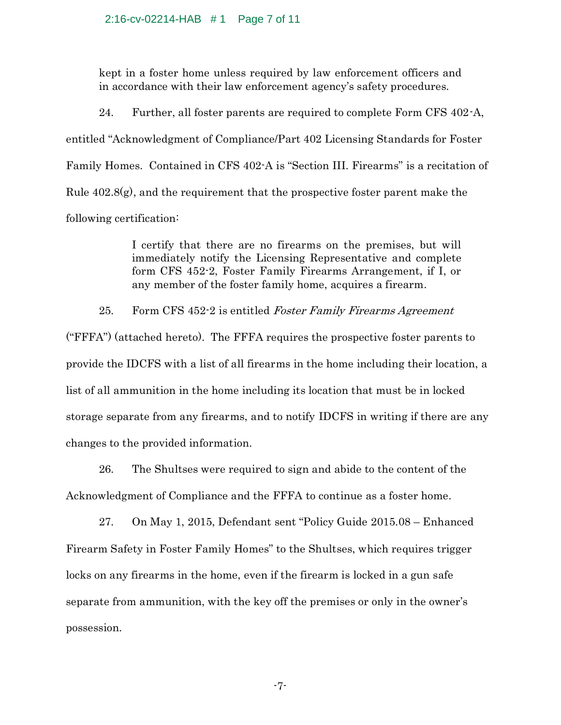### 2:16-cv-02214-HAB # 1 Page 7 of 11

kept in a foster home unless required by law enforcement officers and in accordance with their law enforcement agency's safety procedures.

24. Further, all foster parents are required to complete Form CFS 402-A, entitled "Acknowledgment of Compliance/Part 402 Licensing Standards for Foster Family Homes. Contained in CFS 402-A is "Section III. Firearms" is a recitation of Rule  $402.8(g)$ , and the requirement that the prospective foster parent make the following certification:

> I certify that there are no firearms on the premises, but will immediately notify the Licensing Representative and complete form CFS 452-2, Foster Family Firearms Arrangement, if I, or any member of the foster family home, acquires a firearm.

25. Form CFS 452-2 is entitled Foster Family Firearms Agreement

("FFFA") (attached hereto). The FFFA requires the prospective foster parents to provide the IDCFS with a list of all firearms in the home including their location, a list of all ammunition in the home including its location that must be in locked storage separate from any firearms, and to notify IDCFS in writing if there are any changes to the provided information.

26. The Shultses were required to sign and abide to the content of the Acknowledgment of Compliance and the FFFA to continue as a foster home.

27. On May 1, 2015, Defendant sent "Policy Guide 2015.08 – Enhanced Firearm Safety in Foster Family Homes" to the Shultses, which requires trigger locks on any firearms in the home, even if the firearm is locked in a gun safe separate from ammunition, with the key off the premises or only in the owner's possession.

-7-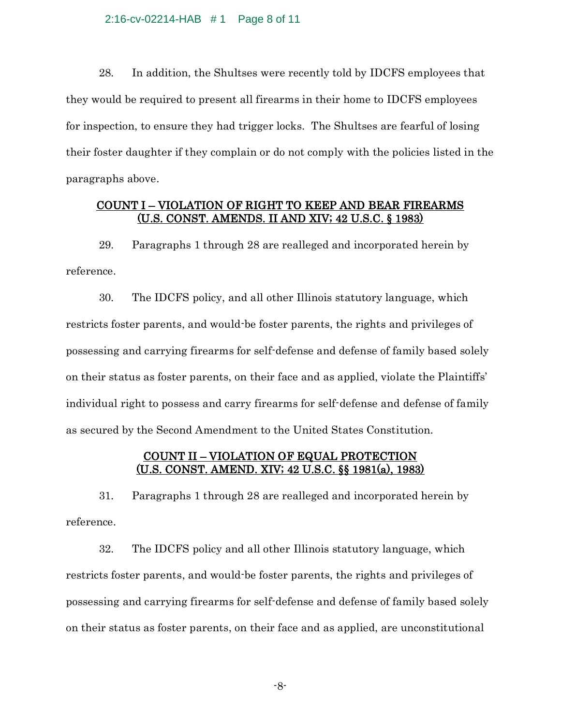2:16-cv-02214-HAB # 1 Page 8 of 11

28. In addition, the Shultses were recently told by IDCFS employees that they would be required to present all firearms in their home to IDCFS employees for inspection, to ensure they had trigger locks. The Shultses are fearful of losing their foster daughter if they complain or do not comply with the policies listed in the paragraphs above.

## COUNT I – VIOLATION OF RIGHT TO KEEP AND BEAR FIREARMS (U.S. CONST. AMENDS. II AND XIV; 42 U.S.C. § 1983)

29. Paragraphs 1 through 28 are realleged and incorporated herein by reference.

30. The IDCFS policy, and all other Illinois statutory language, which restricts foster parents, and would-be foster parents, the rights and privileges of possessing and carrying firearms for self-defense and defense of family based solely on their status as foster parents, on their face and as applied, violate the Plaintiffs' individual right to possess and carry firearms for self-defense and defense of family as secured by the Second Amendment to the United States Constitution.

## COUNT II – VIOLATION OF EQUAL PROTECTION (U.S. CONST. AMEND. XIV; 42 U.S.C. §§ 1981(a), 1983)

31. Paragraphs 1 through 28 are realleged and incorporated herein by reference.

32. The IDCFS policy and all other Illinois statutory language, which restricts foster parents, and would-be foster parents, the rights and privileges of possessing and carrying firearms for self-defense and defense of family based solely on their status as foster parents, on their face and as applied, are unconstitutional

-8-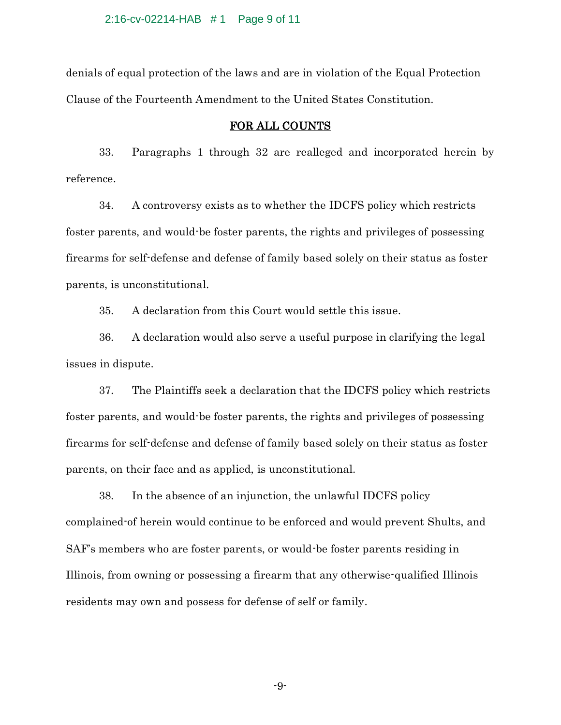### 2:16-cv-02214-HAB # 1 Page 9 of 11

denials of equal protection of the laws and are in violation of the Equal Protection Clause of the Fourteenth Amendment to the United States Constitution.

### FOR ALL COUNTS

33. Paragraphs 1 through 32 are realleged and incorporated herein by reference.

34. A controversy exists as to whether the IDCFS policy which restricts foster parents, and would-be foster parents, the rights and privileges of possessing firearms for self-defense and defense of family based solely on their status as foster parents, is unconstitutional.

35. A declaration from this Court would settle this issue.

36. A declaration would also serve a useful purpose in clarifying the legal issues in dispute.

37. The Plaintiffs seek a declaration that the IDCFS policy which restricts foster parents, and would-be foster parents, the rights and privileges of possessing firearms for self-defense and defense of family based solely on their status as foster parents, on their face and as applied, is unconstitutional.

38. In the absence of an injunction, the unlawful IDCFS policy complained-of herein would continue to be enforced and would prevent Shults, and SAF's members who are foster parents, or would-be foster parents residing in Illinois, from owning or possessing a firearm that any otherwise-qualified Illinois residents may own and possess for defense of self or family.

-9-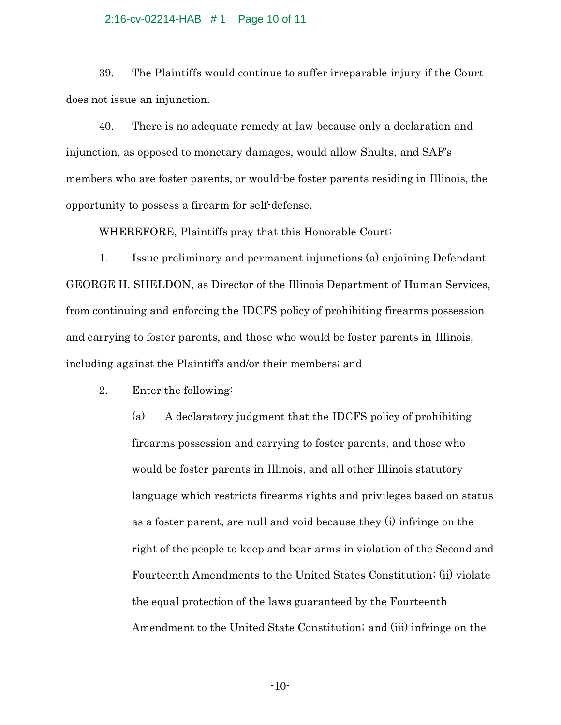#### 2:16-cv-02214-HAB # 1 Page 10 of 11

39. The Plaintiffs would continue to suffer irreparable injury if the Court does not issue an injunction.

40. There is no adequate remedy at law because only a declaration and injunction, as opposed to monetary damages, would allow Shults, and SAF's members who are foster parents, or would-be foster parents residing in Illinois, the opportunity to possess a firearm for self-defense.

WHEREFORE, Plaintiffs pray that this Honorable Court:

1. Issue preliminary and permanent injunctions (a) enjoining Defendant GEORGE H. SHELDON, as Director of the Illinois Department of Human Services, from continuing and enforcing the IDCFS policy of prohibiting firearms possession and carrying to foster parents, and those who would be foster parents in Illinois, including against the Plaintiffs and/or their members; and

2. Enter the following:

(a) A declaratory judgment that the IDCFS policy of prohibiting firearms possession and carrying to foster parents, and those who would be foster parents in Illinois, and all other Illinois statutory language which restricts firearms rights and privileges based on status as a foster parent, are null and void because they (i) infringe on the right of the people to keep and bear arms in violation of the Second and Fourteenth Amendments to the United States Constitution; (ii) violate the equal protection of the laws guaranteed by the Fourteenth Amendment to the United State Constitution; and (iii) infringe on the

-10-